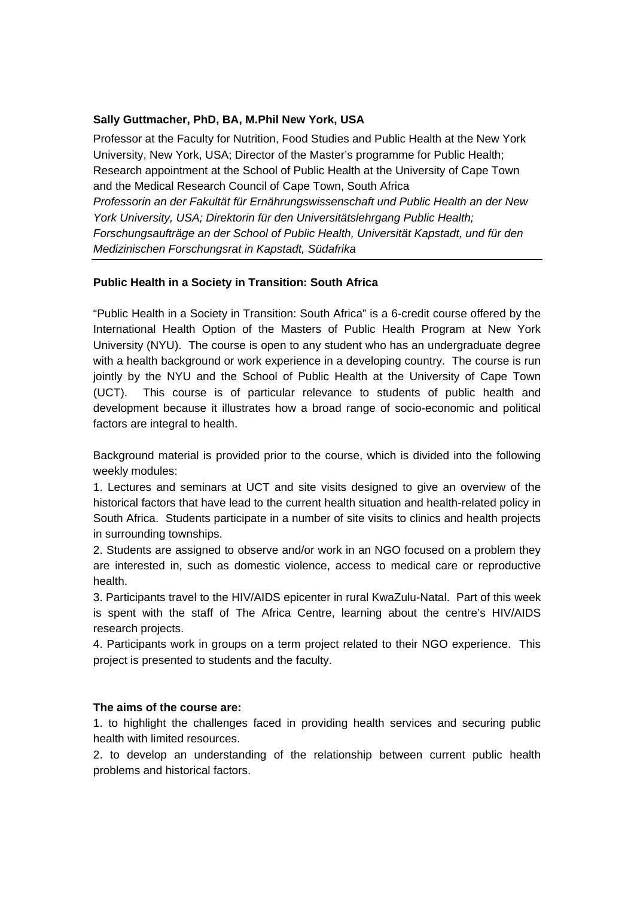## **Sally Guttmacher, PhD, BA, M.Phil New York, USA**

Professor at the Faculty for Nutrition, Food Studies and Public Health at the New York University, New York, USA; Director of the Master's programme for Public Health; Research appointment at the School of Public Health at the University of Cape Town and the Medical Research Council of Cape Town, South Africa *Professorin an der Fakultät für Ernährungswissenschaft und Public Health an der New York University, USA; Direktorin für den Universitätslehrgang Public Health; Forschungsaufträge an der School of Public Health, Universität Kapstadt, und für den Medizinischen Forschungsrat in Kapstadt, Südafrika* 

## **Public Health in a Society in Transition: South Africa**

"Public Health in a Society in Transition: South Africa" is a 6-credit course offered by the International Health Option of the Masters of Public Health Program at New York University (NYU). The course is open to any student who has an undergraduate degree with a health background or work experience in a developing country. The course is run jointly by the NYU and the School of Public Health at the University of Cape Town (UCT). This course is of particular relevance to students of public health and development because it illustrates how a broad range of socio-economic and political factors are integral to health.

Background material is provided prior to the course, which is divided into the following weekly modules:

1. Lectures and seminars at UCT and site visits designed to give an overview of the historical factors that have lead to the current health situation and health-related policy in South Africa. Students participate in a number of site visits to clinics and health projects in surrounding townships.

2. Students are assigned to observe and/or work in an NGO focused on a problem they are interested in, such as domestic violence, access to medical care or reproductive health.

3. Participants travel to the HIV/AIDS epicenter in rural KwaZulu-Natal. Part of this week is spent with the staff of The Africa Centre, learning about the centre's HIV/AIDS research projects.

4. Participants work in groups on a term project related to their NGO experience. This project is presented to students and the faculty.

## **The aims of the course are:**

1. to highlight the challenges faced in providing health services and securing public health with limited resources.

2. to develop an understanding of the relationship between current public health problems and historical factors.